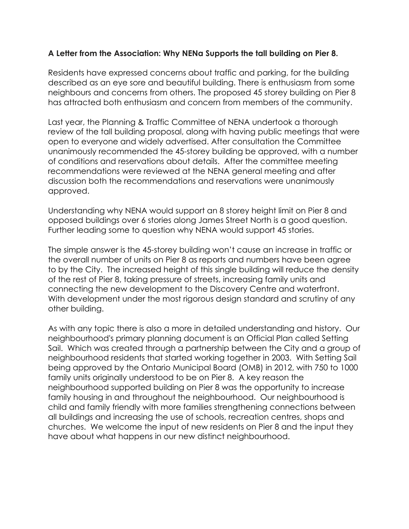## **A Letter from the Association: Why NENa Supports the tall building on Pier 8.**

Residents have expressed concerns about traffic and parking, for the building described as an eye sore and beautiful building. There is enthusiasm from some neighbours and concerns from others. The proposed 45 storey building on Pier 8 has attracted both enthusiasm and concern from members of the community.

Last year, the Planning & Traffic Committee of NENA undertook a thorough review of the tall building proposal, along with having public meetings that were open to everyone and widely advertised. After consultation the Committee unanimously recommended the 45-storey building be approved, with a number of conditions and reservations about details. After the committee meeting recommendations were reviewed at the NENA general meeting and after discussion both the recommendations and reservations were unanimously approved.

Understanding why NENA would support an 8 storey height limit on Pier 8 and opposed buildings over 6 stories along James Street North is a good question. Further leading some to question why NENA would support 45 stories.

The simple answer is the 45-storey building won't cause an increase in traffic or the overall number of units on Pier 8 as reports and numbers have been agree to by the City. The increased height of this single building will reduce the density of the rest of Pier 8, taking pressure of streets, increasing family units and connecting the new development to the Discovery Centre and waterfront. With development under the most rigorous design standard and scrutiny of any other building.

As with any topic there is also a more in detailed understanding and history. Our neighbourhood's primary planning document is an Official Plan called Setting Sail. Which was created through a partnership between the City and a group of neighbourhood residents that started working together in 2003. With Setting Sail being approved by the Ontario Municipal Board (OMB) in 2012, with 750 to 1000 family units originally understood to be on Pier 8. A key reason the neighbourhood supported building on Pier 8 was the opportunity to increase family housing in and throughout the neighbourhood. Our neighbourhood is child and family friendly with more families strengthening connections between all buildings and increasing the use of schools, recreation centres, shops and churches. We welcome the input of new residents on Pier 8 and the input they have about what happens in our new distinct neighbourhood.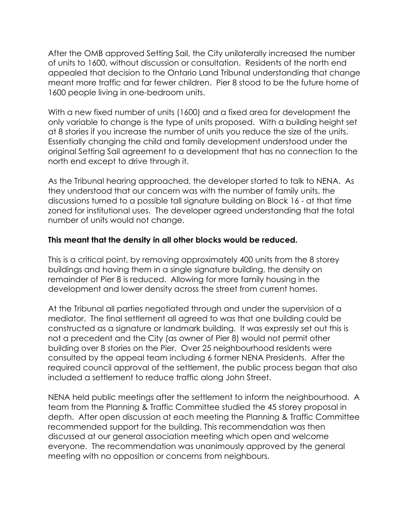After the OMB approved Setting Sail, the City unilaterally increased the number of units to 1600, without discussion or consultation. Residents of the north end appealed that decision to the Ontario Land Tribunal understanding that change meant more traffic and far fewer children. Pier 8 stood to be the future home of 1600 people living in one-bedroom units.

With a new fixed number of units (1600) and a fixed area for development the only variable to change is the type of units proposed. With a building height set at 8 stories if you increase the number of units you reduce the size of the units. Essentially changing the child and family development understood under the original Setting Sail agreement to a development that has no connection to the north end except to drive through it.

As the Tribunal hearing approached, the developer started to talk to NENA. As they understood that our concern was with the number of family units, the discussions turned to a possible tall signature building on Block 16 - at that time zoned for institutional uses. The developer agreed understanding that the total number of units would not change.

## **This meant that the density in all other blocks would be reduced.**

This is a critical point, by removing approximately 400 units from the 8 storey buildings and having them in a single signature building, the density on remainder of Pier 8 is reduced. Allowing for more family housing in the development and lower density across the street from current homes.

At the Tribunal all parties negotiated through and under the supervision of a mediator. The final settlement all agreed to was that one building could be constructed as a signature or landmark building. It was expressly set out this is not a precedent and the City (as owner of Pier 8) would not permit other building over 8 stories on the Pier. Over 25 neighbourhood residents were consulted by the appeal team including 6 former NENA Presidents. After the required council approval of the settlement, the public process began that also included a settlement to reduce traffic along John Street.

NENA held public meetings after the settlement to inform the neighbourhood. A team from the Planning & Traffic Committee studied the 45 storey proposal in depth. After open discussion at each meeting the Planning & Traffic Committee recommended support for the building. This recommendation was then discussed at our general association meeting which open and welcome everyone. The recommendation was unanimously approved by the general meeting with no opposition or concerns from neighbours.